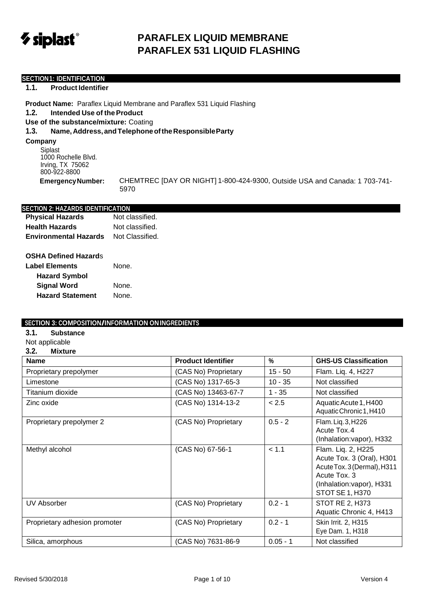

# **PARAFLEX LIQUID MEMBRANE PARAFLEX 531 LIQUID FLASHING**

### **SECTION1: IDENTIFICATION**

#### **1.1. Product Identifier**

**Product Name:** Paraflex Liquid Membrane and Paraflex 531 Liquid Flashing **1.2. Intended Use of theProduct Use of the substance/mixture:** Coating

## **1.3. Name,Address,andTelephoneoftheResponsibleParty**

**Company**

Siplast 1000 Rochelle Blvd. Irving, TX 75062 800-922-8800

**EmergencyNumber:** CHEMTREC [DAY OR NIGHT] 1-800-424-9300, Outside USA and Canada: 1 703-741- 5970

#### **SECTION 2: HAZARDS IDENTIFICATION**

**Physical Hazards** Not classified. **Health Hazards** Not classified. **Environmental Hazards** Not Classified.

## **OSHA Defined Hazard**s

| <b>Label Elements</b>   | None. |
|-------------------------|-------|
| <b>Hazard Symbol</b>    |       |
| <b>Signal Word</b>      | None. |
| <b>Hazard Statement</b> | None. |

#### **SECTION 3: COMPOSITION/INFORMATION ONINGREDIENTS**

- **3.1. Substance**
- Not applicable

#### **3.2. Mixture**

| <b>Name</b>                   | <b>Product Identifier</b> | $\%$       | <b>GHS-US Classification</b>                                                                                                                          |
|-------------------------------|---------------------------|------------|-------------------------------------------------------------------------------------------------------------------------------------------------------|
| Proprietary prepolymer        | (CAS No) Proprietary      | $15 - 50$  | Flam. Liq. 4, H227                                                                                                                                    |
| Limestone                     | (CAS No) 1317-65-3        | $10 - 35$  | Not classified                                                                                                                                        |
| Titanium dioxide              | (CAS No) 13463-67-7       | $1 - 35$   | Not classified                                                                                                                                        |
| Zinc oxide                    | (CAS No) 1314-13-2        | < 2.5      | Aquatic Acute 1, H400<br>Aquatic Chronic 1, H410                                                                                                      |
| Proprietary prepolymer 2      | (CAS No) Proprietary      | $0.5 - 2$  | Flam. Liq. 3, H226<br>Acute Tox.4<br>(Inhalation: vapor), H332                                                                                        |
| Methyl alcohol                | (CAS No) 67-56-1          | < 1.1      | Flam. Liq. 2, H225<br>Acute Tox. 3 (Oral), H301<br>Acute Tox. 3 (Dermal), H311<br>Acute Tox. 3<br>(Inhalation: vapor), H331<br><b>STOT SE 1, H370</b> |
| <b>UV Absorber</b>            | (CAS No) Proprietary      | $0.2 - 1$  | STOT RE 2, H373<br>Aquatic Chronic 4, H413                                                                                                            |
| Proprietary adhesion promoter | (CAS No) Proprietary      | $0.2 - 1$  | Skin Irrit. 2, H315<br>Eye Dam. 1, H318                                                                                                               |
| Silica, amorphous             | (CAS No) 7631-86-9        | $0.05 - 1$ | Not classified                                                                                                                                        |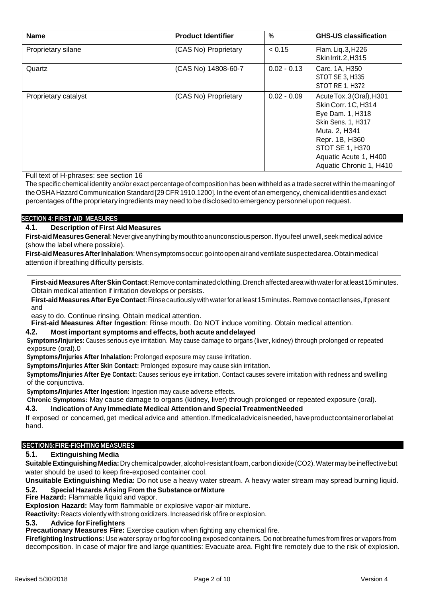| <b>Name</b>          | <b>Product Identifier</b> | $\%$          | <b>GHS-US classification</b>                                                                                                                                                                         |
|----------------------|---------------------------|---------------|------------------------------------------------------------------------------------------------------------------------------------------------------------------------------------------------------|
| Proprietary silane   | (CAS No) Proprietary      | < 0.15        | Flam. Liq. 3, H226<br>Skin1rrit.2, H315                                                                                                                                                              |
| Quartz               | (CAS No) 14808-60-7       | $0.02 - 0.13$ | Carc. 1A, H350<br>STOT SE 3, H335<br>STOT RE 1, H372                                                                                                                                                 |
| Proprietary catalyst | (CAS No) Proprietary      | $0.02 - 0.09$ | Acute Tox. 3 (Oral), H301<br>Skin Corr. 1C, H314<br>Eye Dam. 1, H318<br>Skin Sens. 1, H317<br>Muta. 2, H341<br>Repr. 1B, H360<br>STOT SE 1, H370<br>Aquatic Acute 1, H400<br>Aquatic Chronic 1, H410 |

Full text of H-phrases: see section 16

The specific chemical identity and/or exact percentage of composition has been withheld as a trade secret within the meaning of the OSHA Hazard Communication Standard [29 CFR 1910.1200]. In the event of an emergency, chemical identities and exact percentages of the proprietary ingredients may need to be disclosed to emergency personnel upon request.

## **SECTION 4: FIRST AID MEASURES**

## **4.1. Description of First AidMeasures**

**First-aidMeasuresGeneral**:Nevergiveanythingbymouthtoanunconsciousperson.If youfeelunwell, seekmedicaladvice (show the label where possible).

**First-aidMeasuresAfterInhalation**:Whensymptomsoccur:gointoopenairandventilatesuspectedarea.Obtainmedical attention if breathing difficulty persists.

**First-aidMeasuresAfterSkinContact**:Removecontaminated clothing.Drenchaffected areawithwaterforatleast15minutes. Obtain medical attention if irritation develops or persists.

**First-aid MeasuresAfterEye Contact**:Rinsecautiously with waterforatleast 15minutes. Removecontactlenses, ifpresent and

easy to do. Continue rinsing. Obtain medical attention.

**First-aid Measures After Ingestion**: Rinse mouth. Do NOT induce vomiting. Obtain medical attention.

## **4.2. Most important symptoms and effects, both acute anddelayed**

**Symptoms/Injuries:** Causes serious eye irritation. May cause damage to organs (liver, kidney) through prolonged or repeated exposure (oral).0

**Symptoms/Injuries After Inhalation:** Prolonged exposure may cause irritation.

**Symptoms/Injuries After Skin Contact:** Prolonged exposure may cause skin irritation.

**Symptoms/Injuries After Eye Contact:** Causes serious eye irritation. Contact causes severe irritation with redness and swelling of the conjunctiva.

**Symptoms/Injuries After Ingestion:** Ingestion may cause adverse effects.

**Chronic Symptoms:** May cause damage to organs (kidney, liver) through prolonged or repeated exposure (oral).

## **4.3. Indication of Any Immediate Medical Attention andSpecial TreatmentNeeded**

If exposed or concerned,get medical advice and attention.Ifmedicaladviceisneeded,haveproductcontainerorlabelat hand.

## **SECTION5:FIRE-FIGHTING MEASURES**

## **5.1. Extinguishing Media**

**SuitableExtinguishing Media:**Dry chemical powder,alcohol-resistantfoam,carbondioxide(CO2).Watermaybeineffectivebut water should be used to keep fire-exposed container cool.

**Unsuitable Extinguishing Media:** Do not use a heavy water stream. A heavy water stream may spread burning liquid.

## **5.2. Special Hazards Arising From the Substance orMixture**

**Fire Hazard:** Flammable liquid and vapor.

**Explosion Hazard:** May form flammable or explosive vapor-air mixture.

**Reactivity:** Reacts violently with strong oxidizers. Increased risk of fire or explosion.

#### **5.3. Advice forFirefighters**

**Precautionary Measures Fire:** Exercise caution when fighting any chemical fire.

**Firefighting Instructions:** Use water spray orfog for cooling exposed containers. Do not breathe fumes from fires or vapors from decomposition. In case of major fire and large quantities: Evacuate area. Fight fire remotely due to the risk of explosion.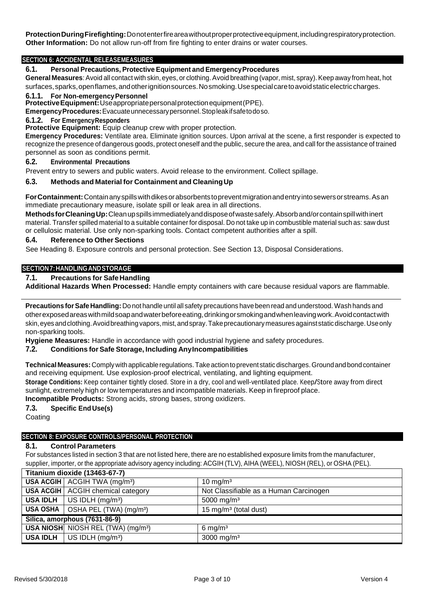**ProtectionDuringFirefighting:**Donotenterfireareawithoutproperprotectiveequipment,includingrespiratoryprotection. **Other Information:** Do not allow run-off from fire fighting to enter drains or water courses.

### **SECTION 6: ACCIDENTAL RELEASEMEASURES**

#### **6.1. Personal Precautions, Protective Equipment and EmergencyProcedures**

General Measures: Avoid all contact with skin, eyes, or clothing. Avoid breathing (vapor, mist, spray). Keep away from heat, hot surfaces,sparks,openflames,andotherignitionsources.Nosmoking.Usespecialcaretoavoidstaticelectriccharges.

#### **6.1.1. For Non-emergencyPersonnel**

**ProtectiveEquipment:**Useappropriatepersonalprotectionequipment(PPE).

**EmergencyProcedures:**Evacuateunnecessarypersonnel.Stopleakifsafetodoso.

#### **6.1.2. For EmergencyResponders**

**Protective Equipment:** Equip cleanup crew with proper protection.

**Emergency Procedures:** Ventilate area. Eliminate ignition sources. Upon arrival at the scene, a first responder is expected to recognize the presence of dangerous goods, protect oneself and the public, secure the area, and call for the assistance of trained personnel as soon as conditions permit.

#### **6.2. Environmental Precautions**

Prevent entry to sewers and public waters. Avoid release to the environment. Collect spillage.

#### **6.3. Methods and Material for Containment and CleaningUp**

**ForContainment:**Containanyspillswithdikesorabsorbentstopreventmigrationandentryintosewersorstreams.Asan immediate precautionary measure, isolate spill or leak area in all directions.

**MethodsforCleaningUp:**Cleanupspillsimmediatelyanddisposeofwastesafely.Absorband/orcontainspillwithinert material. Transfer spilled material to a suitable container for disposal. Do not take up in combustible material such as: saw dust or cellulosic material. Use only non-sparking tools. Contact competent authorities after a spill.

## **6.4. Reference to Other Sections**

See Heading 8. Exposure controls and personal protection. See Section 13, Disposal Considerations.

#### **SECTION7:HANDLINGANDSTORAGE**

### **7.1. Precautions for Safe Handling**

**Additional Hazards When Processed:** Handle empty containers with care because residual vapors are flammable.

**Precautions forSafe Handling:** Do not handle until all safety precautions have been read and understood. Wash hands and otherexposedareaswithmildsoapandwaterbeforeeating,drinkingorsmokingandwhenleavingwork.Avoidcontactwith skin,eyesandclothing.Avoidbreathingvapors,mist,andspray.Takeprecautionarymeasuresagainststaticdischarge.Useonly non-sparking tools.

**Hygiene Measures:** Handle in accordance with good industrial hygiene and safety procedures.

## **7.2. Conditions forSafe Storage, Including AnyIncompatibilities**

**TechnicalMeasures:**Comply with applicable regulations.Takeaction toprevent static discharges.Groundand bondcontainer and receiving equipment. Use explosion-proof electrical, ventilating, and lighting equipment.

**Storage Conditions:** Keep container tightly closed. Store in <sup>a</sup> dry, cool and well-ventilated place. Keep/Store away from direct sunlight, extremely high or low temperatures and incompatible materials. Keep in fireproof place. **Incompatible Products:** Strong acids, strong bases, strong oxidizers.

## **7.3. Specific End Use(s)**

Coating

#### **SECTION 8: EXPOSURE CONTROLS/PERSONAL PROTECTION**

## **8.1. Control Parameters**

For substances listed in section 3 that are not listed here, there are no established exposure limits from the manufacturer, supplier, importer, or the appropriate advisory agency including: ACGIH (TLV), AIHA (WEEL), NIOSH (REL), or OSHA (PEL).

|                               | Titanium dioxide (13463-67-7)                               |                                        |
|-------------------------------|-------------------------------------------------------------|----------------------------------------|
|                               | USA ACGIH $ $ ACGIH TWA (mg/m <sup>3</sup> )                | $10 \text{ mg/m}^3$                    |
|                               | <b>USA ACGIH</b> ACGIH chemical category                    | Not Classifiable as a Human Carcinogen |
|                               | <b>USA IDLH</b>   US IDLH $(mg/m3)$                         | 5000 mg/m <sup>3</sup>                 |
|                               | <b>USA OSHA</b> $\vert$ OSHA PEL (TWA) (mg/m <sup>3</sup> ) | 15 mg/m <sup>3</sup> (total dust)      |
| Silica, amorphous (7631-86-9) |                                                             |                                        |
|                               | <b>USA NIOSH</b> NIOSH REL (TWA) (mg/m <sup>3</sup> )       | $6 \text{ mg/m}^3$                     |
|                               | <b>USA IDLH</b> $ $ US IDLH $(mg/m3)$                       | 3000 mg/m <sup>3</sup>                 |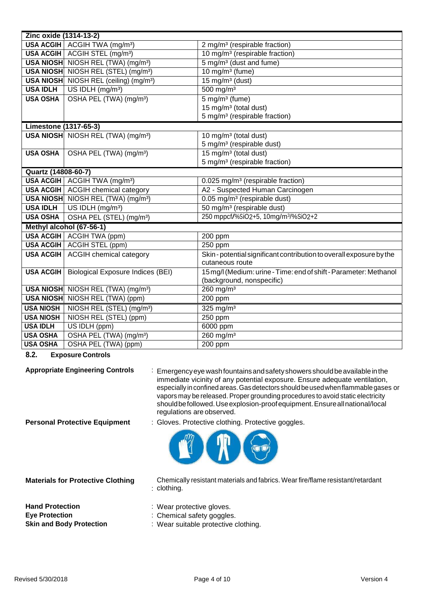| Zinc oxide (1314-13-2)       |                                                       |                                                                    |
|------------------------------|-------------------------------------------------------|--------------------------------------------------------------------|
|                              | USA ACGIH   ACGIH TWA (mg/m <sup>3</sup> )            | 2 mg/m <sup>3</sup> (respirable fraction)                          |
|                              | USA ACGIH ACGIH STEL (mg/m <sup>3</sup> )             | 10 mg/m <sup>3</sup> (respirable fraction)                         |
|                              | <b>USA NIOSH</b> NIOSH REL (TWA) (mg/m <sup>3</sup> ) | 5 mg/m <sup>3</sup> (dust and fume)                                |
|                              | USA NIOSH NIOSH REL (STEL) (mg/m <sup>3</sup> )       | 10 mg/m <sup>3</sup> (fume)                                        |
|                              | USA NIOSH NIOSH REL (ceiling) (mg/m <sup>3</sup> )    | $15 \overline{\mathrm{mg}}/\mathrm{m}^3$ (dust)                    |
| <b>USA IDLH</b>              | US IDLH (mg/m <sup>3</sup> )                          | $500$ mg/m <sup>3</sup>                                            |
| <b>USA OSHA</b>              | OSHA PEL (TWA) (mg/m <sup>3</sup> )                   | $5$ mg/m <sup>3</sup> (fume)                                       |
|                              |                                                       | 15 mg/m <sup>3</sup> (total dust)                                  |
|                              |                                                       | 5 mg/m <sup>3</sup> (respirable fraction)                          |
| <b>Limestone (1317-65-3)</b> |                                                       |                                                                    |
|                              | <b>USA NIOSH</b> NIOSH REL (TWA) (mg/m <sup>3</sup> ) | 10 mg/m <sup>3</sup> (total dust)                                  |
|                              |                                                       | 5 mg/m <sup>3</sup> (respirable dust)                              |
| <b>USA OSHA</b>              | OSHA PEL (TWA) (mg/m <sup>3</sup> )                   | 15 mg/m <sup>3</sup> (total dust)                                  |
|                              |                                                       | 5 mg/m <sup>3</sup> (respirable fraction)                          |
| Quartz (14808-60-7)          |                                                       |                                                                    |
|                              | USA ACGIH   ACGIH TWA (mg/m <sup>3</sup> )            | 0.025 mg/m <sup>3</sup> (respirable fraction)                      |
|                              | USA ACGIH   ACGIH chemical category                   | A2 - Suspected Human Carcinogen                                    |
|                              | USA NIOSH NIOSH REL (TWA) (mg/m <sup>3</sup> )        | 0.05 mg/m <sup>3</sup> (respirable dust)                           |
| <b>USA IDLH</b>              | $\bigcup$ US IDLH (mg/m <sup>3</sup> )                | 50 mg/m <sup>3</sup> (respirable dust)                             |
| <b>USA OSHA</b>              | OSHA PEL (STEL) (mg/m <sup>3</sup> )                  | 250 mppcf/%SiO2+5, 10mg/m <sup>3</sup> /%SiO2+2                    |
|                              | Methyl alcohol (67-56-1)                              |                                                                    |
|                              | <b>USA ACGIH</b> ACGIH TWA (ppm)                      | 200 ppm                                                            |
|                              | <b>USA ACGIH   ACGIH STEL (ppm)</b>                   | 250 ppm                                                            |
| <b>USA ACGIH</b>             | <b>ACGIH chemical category</b>                        | Skin-potential significant contribution to overall exposure by the |
|                              |                                                       | cutaneous route                                                    |
| <b>USA ACGIH</b>             | <b>Biological Exposure Indices (BEI)</b>              | 15 mg/l (Medium: urine - Time: end of shift - Parameter: Methanol  |
|                              |                                                       | (background, nonspecific)                                          |
|                              | <b>USA NIOSH</b> NIOSH REL (TWA) (mg/m <sup>3</sup> ) | $260$ mg/m <sup>3</sup>                                            |
|                              | <b>USA NIOSH</b> NIOSH REL (TWA) (ppm)                | $200$ ppm                                                          |
| <b>USA NIOSH</b>             | NIOSH REL (STEL) (mg/m <sup>3</sup> )                 | 325 mg/m $3$                                                       |
| <b>USA NIOSH</b>             | NIOSH REL (STEL) (ppm)                                | 250 ppm                                                            |
| <b>USA IDLH</b>              | US IDLH (ppm)                                         | 6000 ppm                                                           |
| <b>USA OSHA</b>              | OSHA PEL (TWA) (mg/m <sup>3</sup> )                   | $260$ mg/m <sup>3</sup>                                            |
| <b>USA OSHA</b>              | OSHA PEL (TWA) (ppm)                                  | 200 ppm                                                            |

**8.2. Exposure Controls**

**Appropriate Engineering Controls** : Emergencyeye washfountainsandsafetyshowers shouldbeavailableinthe immediate vicinity of any potential exposure. Ensure adequate ventilation, especially in confined areas. Gas detectors should be used when flammable gases or vapors may be released. Proper grounding procedures to avoid static electricity shouldbefollowed.Useexplosion-proofequipment.Ensureallnational/local regulations are observed.

**Personal Protective Equipment** : Gloves. Protective clothing. Protective goggles.



**Materials for Protective Clothing**

: clothing. Chemically resistant materials and fabrics. Wear fire/flame resistant/retardant

Hand Protection **Hand Protection** : Wear protective gloves. **Eye Protection** : Chemical safety goggles.

- 
- 
- **Skin and Body Protection** : Wear suitable protective clothing.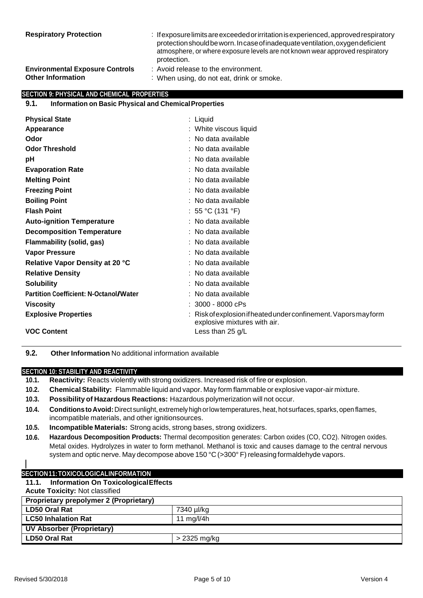| <b>Respiratory Protection</b>          | : If exposure limits are exceeded or irritation is experienced, approved respiratory<br>protection should be worn. In case of inadequate ventilation, oxygen deficient<br>atmosphere, or where exposure levels are not known wear approved respiratory<br>protection. |
|----------------------------------------|-----------------------------------------------------------------------------------------------------------------------------------------------------------------------------------------------------------------------------------------------------------------------|
| <b>Environmental Exposure Controls</b> | : Avoid release to the environment.                                                                                                                                                                                                                                   |
| <b>Other Information</b>               | : When using, do not eat, drink or smoke.                                                                                                                                                                                                                             |

## **SECTION 9: PHYSICAL AND CHEMICAL PROPERTIES**

### **9.1. Information on Basic Physical and ChemicalProperties**

| <b>Physical State</b>                         | : Liquid                                                                                         |
|-----------------------------------------------|--------------------------------------------------------------------------------------------------|
| Appearance                                    | : White viscous liquid                                                                           |
| Odor                                          | $:$ No data available                                                                            |
|                                               |                                                                                                  |
| <b>Odor Threshold</b>                         | : No data available                                                                              |
| рH                                            | $:$ No data available                                                                            |
| <b>Evaporation Rate</b>                       | : No data available                                                                              |
| <b>Melting Point</b>                          | : No data available                                                                              |
| <b>Freezing Point</b>                         | : No data available                                                                              |
| <b>Boiling Point</b>                          | : No data available                                                                              |
| <b>Flash Point</b>                            | : 55 °C (131 °F)                                                                                 |
| <b>Auto-ignition Temperature</b>              | : No data available                                                                              |
| <b>Decomposition Temperature</b>              | : No data available                                                                              |
| Flammability (solid, gas)                     | $:$ No data available                                                                            |
| <b>Vapor Pressure</b>                         | : No data available                                                                              |
| Relative Vapor Density at 20 °C               | $:$ No data available                                                                            |
| <b>Relative Density</b>                       | : No data available                                                                              |
| <b>Solubility</b>                             | $:$ No data available                                                                            |
| <b>Partition Coefficient: N-Octanol/Water</b> | No data available                                                                                |
| <b>Viscosity</b>                              | $: 3000 - 8000$ cPs                                                                              |
| <b>Explosive Properties</b>                   | : Risk of explosion if heated under confinement. Vapors may form<br>explosive mixtures with air. |
| <b>VOC Content</b>                            | Less than 25 $g/L$                                                                               |

**9.2. Other Information** No additional information available

#### **SECTION 10: STABILITY AND REACTIVITY**

| 10.1. Reactivity: Reacts violently with strong oxidizers. Increased risk of fire or explosion. |
|------------------------------------------------------------------------------------------------|
|------------------------------------------------------------------------------------------------|

- **10.2. ChemicalStability:** Flammable liquid and vapor. May form flammable or explosive vapor-air mixture.
- **10.3. Possibility of Hazardous Reactions:** Hazardous polymerization will not occur.
- 10.4. Conditions to Avoid: Direct sunlight, extremely high or low temperatures, heat, hot surfaces, sparks, open flames, incompatible materials, and other ignitionsources.
- **10.5. Incompatible Materials:** Strong acids, strong bases, strong oxidizers.
- **10.6. Hazardous Decomposition Products:** Thermal decomposition generates: Carbon oxides (CO, CO2). Nitrogen oxides. Metal oxides. Hydrolyzes in water to form methanol. Methanol is toxic and causes damage to the central nervous system and optic nerve. May decompose above 150 °C (>300° F) releasing formaldehyde vapors.
- 

## **SECTION11:TOXICOLOGICALINFORMATION**

## **11.1. Information On ToxicologicalEffects**

**Acute Toxicity:** Not classified

| <b>Proprietary prepolymer 2 (Proprietary)</b> |              |  |
|-----------------------------------------------|--------------|--|
| <b>LD50 Oral Rat</b>                          | 7340 µl/kg   |  |
| <b>LC50 Inhalation Rat</b>                    | 11 mg/l/4h   |  |
| <b>UV Absorber (Proprietary)</b>              |              |  |
| <b>LD50 Oral Rat</b>                          | > 2325 mg/kg |  |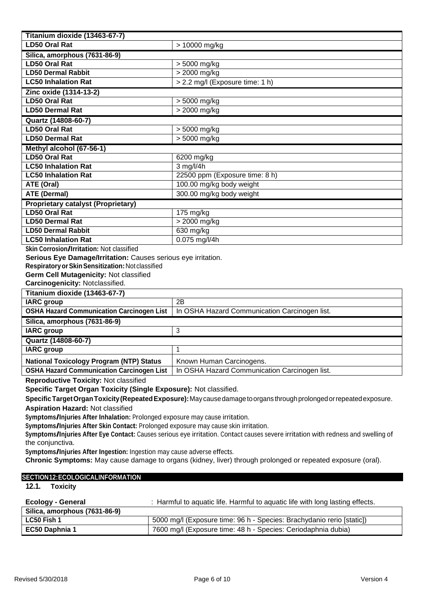| Titanium dioxide (13463-67-7)                                                                                                                                       |                                                                           |  |
|---------------------------------------------------------------------------------------------------------------------------------------------------------------------|---------------------------------------------------------------------------|--|
| <b>LD50 Oral Rat</b>                                                                                                                                                | > 10000 mg/kg                                                             |  |
| Silica, amorphous (7631-86-9)                                                                                                                                       |                                                                           |  |
| <b>LD50 Oral Rat</b>                                                                                                                                                | > 5000 mg/kg                                                              |  |
| <b>LD50 Dermal Rabbit</b>                                                                                                                                           | > 2000 mg/kg                                                              |  |
| <b>LC50 Inhalation Rat</b>                                                                                                                                          | > 2.2 mg/l (Exposure time: 1 h)                                           |  |
| Zinc oxide (1314-13-2)                                                                                                                                              |                                                                           |  |
| <b>LD50 Oral Rat</b>                                                                                                                                                | > 5000 mg/kg                                                              |  |
| <b>LD50 Dermal Rat</b>                                                                                                                                              | > 2000 mg/kg                                                              |  |
| Quartz (14808-60-7)                                                                                                                                                 |                                                                           |  |
| <b>LD50 Oral Rat</b>                                                                                                                                                | > 5000 mg/kg                                                              |  |
| <b>LD50 Dermal Rat</b>                                                                                                                                              | > 5000 mg/kg                                                              |  |
| Methyl alcohol (67-56-1)                                                                                                                                            |                                                                           |  |
| <b>LD50 Oral Rat</b>                                                                                                                                                | 6200 mg/kg                                                                |  |
| <b>LC50 Inhalation Rat</b>                                                                                                                                          | 3 mg/l/4h                                                                 |  |
| <b>LC50 Inhalation Rat</b>                                                                                                                                          | 22500 ppm (Exposure time: 8 h)                                            |  |
| ATE (Oral)                                                                                                                                                          | 100.00 mg/kg body weight                                                  |  |
| <b>ATE (Dermal)</b>                                                                                                                                                 | 300.00 mg/kg body weight                                                  |  |
| <b>Proprietary catalyst (Proprietary)</b>                                                                                                                           |                                                                           |  |
| <b>LD50 Oral Rat</b>                                                                                                                                                | 175 mg/kg                                                                 |  |
| <b>LD50 Dermal Rat</b>                                                                                                                                              | > 2000 mg/kg                                                              |  |
| <b>LD50 Dermal Rabbit</b>                                                                                                                                           | 630 mg/kg                                                                 |  |
| <b>LC50 Inhalation Rat</b>                                                                                                                                          | $0.075$ mg/l/4h                                                           |  |
| Skin Corrosion/Irritation: Not classified                                                                                                                           |                                                                           |  |
| Serious Eye Damage/Irritation: Causes serious eye irritation.<br>Respiratory or Skin Sensitization: Not classified                                                  |                                                                           |  |
| Germ Cell Mutagenicity: Not classified                                                                                                                              |                                                                           |  |
| Carcinogenicity: Notclassified.                                                                                                                                     |                                                                           |  |
| Titanium dioxide (13463-67-7)                                                                                                                                       |                                                                           |  |
| <b>IARC</b> group                                                                                                                                                   | 2B                                                                        |  |
| <b>OSHA Hazard Communication Carcinogen List</b>                                                                                                                    | In OSHA Hazard Communication Carcinogen list.                             |  |
| Silica, amorphous (7631-86-9)                                                                                                                                       |                                                                           |  |
| <b>IARC</b> group                                                                                                                                                   | 3                                                                         |  |
| Quartz (14808-60-7)                                                                                                                                                 |                                                                           |  |
| <b>IARC</b> group                                                                                                                                                   | $\overline{A}$                                                            |  |
| <b>National Toxicology Program (NTP) Status</b>                                                                                                                     |                                                                           |  |
| <b>OSHA Hazard Communication Carcinogen List</b>                                                                                                                    | Known Human Carcinogens.<br>In OSHA Hazard Communication Carcinogen list. |  |
| Reproductive Toxicity: Not classified                                                                                                                               |                                                                           |  |
|                                                                                                                                                                     |                                                                           |  |
| Specific Target Organ Toxicity (Single Exposure): Not classified.                                                                                                   |                                                                           |  |
| Specific Target Organ Toxicity (Repeated Exposure): May cause damage to organs through prolonged or repeated exposure.                                              |                                                                           |  |
|                                                                                                                                                                     | <b>Aspiration Hazard: Not classified</b>                                  |  |
| Symptoms/Injuries After Inhalation: Prolonged exposure may cause irritation.<br>Symptoms/Injuries After Skin Contact: Prolonged exposure may cause skin irritation. |                                                                           |  |
| Symptoms/Injuries After Eye Contact: Causes serious eye irritation. Contact causes severe irritation with redness and swelling of                                   |                                                                           |  |
| the conjunctiva.                                                                                                                                                    |                                                                           |  |
| Symptoms/Injuries After Ingestion: Ingestion may cause adverse effects.                                                                                             |                                                                           |  |
| Chronic Symptoms: May cause damage to organs (kidney, liver) through prolonged or repeated exposure (oral).                                                         |                                                                           |  |
|                                                                                                                                                                     |                                                                           |  |
| SECTION12:ECOLOGICALINFORMATION                                                                                                                                     |                                                                           |  |

**12.1. Toxicity**

| Ecology - General             | : Harmful to aguatic life. Harmful to aguatic life with long lasting effects. |
|-------------------------------|-------------------------------------------------------------------------------|
| Silica, amorphous (7631-86-9) |                                                                               |
| LC50 Fish 1                   | 5000 mg/l (Exposure time: 96 h - Species: Brachydanio rerio [static])         |
| EC50 Daphnia 1                | 7600 mg/l (Exposure time: 48 h - Species: Ceriodaphnia dubia)                 |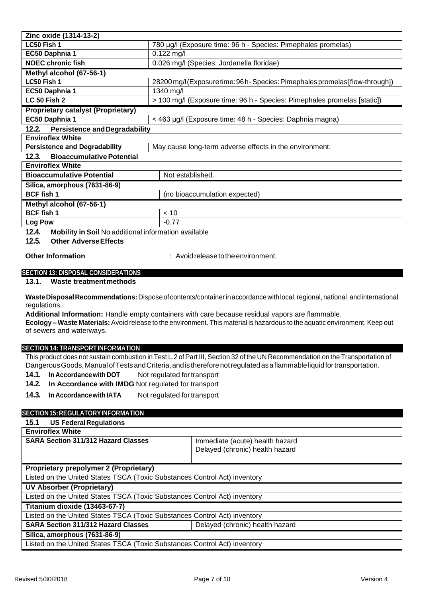| Zinc oxide (1314-13-2)                        |                                                                                |  |
|-----------------------------------------------|--------------------------------------------------------------------------------|--|
| LC50 Fish 1                                   | 780 µg/l (Exposure time: 96 h - Species: Pimephales promelas)                  |  |
| EC50 Daphnia 1                                | $0.122$ mg/l                                                                   |  |
| <b>NOEC chronic fish</b>                      | 0.026 mg/l (Species: Jordanella floridae)                                      |  |
| Methyl alcohol (67-56-1)                      |                                                                                |  |
| LC50 Fish 1                                   | 28200 mg/l (Exposure time: 96 h - Species: Pimephales promelas [flow-through]) |  |
| EC50 Daphnia 1                                | 1340 mg/l                                                                      |  |
| <b>LC 50 Fish 2</b>                           | > 100 mg/l (Exposure time: 96 h - Species: Pimephales promelas [static])       |  |
| <b>Proprietary catalyst (Proprietary)</b>     |                                                                                |  |
| EC50 Daphnia 1                                | < 463 µg/l (Exposure time: 48 h - Species: Daphnia magna)                      |  |
| 12.2.<br><b>Persistence and Degradability</b> |                                                                                |  |
| <b>Enviroflex White</b>                       |                                                                                |  |
| <b>Persistence and Degradability</b>          | May cause long-term adverse effects in the environment.                        |  |
| 12.3.<br><b>Bioaccumulative Potential</b>     |                                                                                |  |
| <b>Enviroflex White</b>                       |                                                                                |  |
| <b>Bioaccumulative Potential</b>              | Not established.                                                               |  |
| Silica, amorphous (7631-86-9)                 |                                                                                |  |
| <b>BCF</b> fish 1                             | (no bioaccumulation expected)                                                  |  |
| Methyl alcohol (67-56-1)                      |                                                                                |  |
| <b>BCF</b> fish 1                             | < 10                                                                           |  |
| Log Pow                                       | $-0.77$                                                                        |  |

**12.4. Mobility in Soil** No additional information available

**12.5. Other AdverseEffects**

**Other Information included**  $\cdot$  Avoid release to the environment.

#### **SECTION 13: DISPOSAL CONSIDERATIONS**

**13.1. Waste treatmentmethods**

**WasteDisposalRecommendations:**Disposeofcontents/containerinaccordancewithlocal,regional,national,andinternational regulations.

**Additional Information:** Handle empty containers with care because residual vapors are flammable.

**Ecology – Waste Materials:**Avoid release to the environment. This material is hazardous to the aquatic environment. Keep out of sewers and waterways.

#### **SECTION 14: TRANSPORTINFORMATION**

This product does not sustain combustion in Test L.2 of Part III, Section 32 of the UN Recommendation on the Transportation of Dangerous Goods, Manual of Tests and Criteria, and is therefore not regulated as a flammable liquid for transportation.

**14.1. In Accordancewith DOT** Not regulated fortransport

- **14.2. In Accordance with IMDG** Not regulated for transport
- **14.3. In Accordancewith IATA** Not regulated fortransport

## **SECTION15:REGULATORYINFORMATION**

## **15.1 US FederalRegulations Enviroflex White SARA Section 311/312 Hazard Classes State Immediate (acute) health hazard** Delayed (chronic) health hazard **Proprietary prepolymer 2 (Proprietary)** Listed on the United States TSCA (Toxic Substances Control Act) inventory **UV Absorber (Proprietary)** Listed on the United States TSCA (Toxic Substances Control Act) inventory **Titanium dioxide (13463-67-7)** Listed on the United States TSCA (Toxic Substances Control Act) inventory **SARA Section 311/312 Hazard Classes** Delayed (chronic) health hazard **Silica, amorphous (7631-86-9)** Listed on the United States TSCA (Toxic Substances Control Act) inventory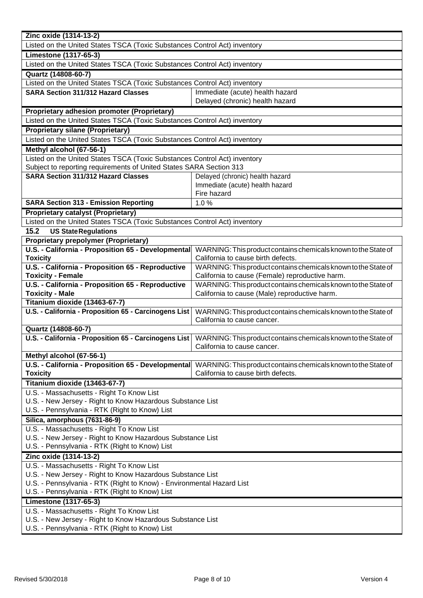| Zinc oxide (1314-13-2)                                                                                       |                                                                |  |
|--------------------------------------------------------------------------------------------------------------|----------------------------------------------------------------|--|
| Listed on the United States TSCA (Toxic Substances Control Act) inventory                                    |                                                                |  |
| <b>Limestone (1317-65-3)</b>                                                                                 |                                                                |  |
| Listed on the United States TSCA (Toxic Substances Control Act) inventory                                    |                                                                |  |
| Quartz (14808-60-7)                                                                                          |                                                                |  |
| Listed on the United States TSCA (Toxic Substances Control Act) inventory                                    |                                                                |  |
| <b>SARA Section 311/312 Hazard Classes</b>                                                                   | Immediate (acute) health hazard                                |  |
|                                                                                                              | Delayed (chronic) health hazard                                |  |
| <b>Proprietary adhesion promoter (Proprietary)</b>                                                           |                                                                |  |
| Listed on the United States TSCA (Toxic Substances Control Act) inventory                                    |                                                                |  |
| <b>Proprietary silane (Proprietary)</b>                                                                      |                                                                |  |
| Listed on the United States TSCA (Toxic Substances Control Act) inventory                                    |                                                                |  |
| Methyl alcohol (67-56-1)                                                                                     |                                                                |  |
| Listed on the United States TSCA (Toxic Substances Control Act) inventory                                    |                                                                |  |
| Subject to reporting requirements of United States SARA Section 313                                          |                                                                |  |
| <b>SARA Section 311/312 Hazard Classes</b>                                                                   | Delayed (chronic) health hazard                                |  |
|                                                                                                              | Immediate (acute) health hazard                                |  |
|                                                                                                              | Fire hazard                                                    |  |
| <b>SARA Section 313 - Emission Reporting</b>                                                                 | 1.0%                                                           |  |
| <b>Proprietary catalyst (Proprietary)</b>                                                                    |                                                                |  |
| Listed on the United States TSCA (Toxic Substances Control Act) inventory                                    |                                                                |  |
| 15.2<br><b>US State Regulations</b>                                                                          |                                                                |  |
| <b>Proprietary prepolymer (Proprietary)</b>                                                                  |                                                                |  |
| U.S. - California - Proposition 65 - Developmental                                                           | WARNING: This product contains chemicals known to the State of |  |
| <b>Toxicity</b>                                                                                              | California to cause birth defects.                             |  |
| U.S. - California - Proposition 65 - Reproductive                                                            | WARNING: This product contains chemicals known to the State of |  |
| <b>Toxicity - Female</b>                                                                                     | California to cause (Female) reproductive harm.                |  |
| U.S. - California - Proposition 65 - Reproductive                                                            | WARNING: This product contains chemicals known to the State of |  |
| <b>Toxicity - Male</b>                                                                                       | California to cause (Male) reproductive harm.                  |  |
| Titanium dioxide (13463-67-7)                                                                                |                                                                |  |
| U.S. - California - Proposition 65 - Carcinogens List                                                        | WARNING: This product contains chemicals known to the State of |  |
|                                                                                                              | California to cause cancer.                                    |  |
| Quartz (14808-60-7)                                                                                          |                                                                |  |
| U.S. - California - Proposition 65 - Carcinogens List                                                        | WARNING: This product contains chemicals known to the State of |  |
|                                                                                                              | California to cause cancer.                                    |  |
| Methyl alcohol (67-56-1)                                                                                     |                                                                |  |
| U.S. - California - Proposition 65 - Developmental                                                           | WARNING: This product contains chemicals known to the State of |  |
| <b>Toxicity</b>                                                                                              | California to cause birth defects.                             |  |
| Titanium dioxide (13463-67-7)                                                                                |                                                                |  |
| U.S. - Massachusetts - Right To Know List                                                                    |                                                                |  |
| U.S. - New Jersey - Right to Know Hazardous Substance List                                                   |                                                                |  |
| U.S. - Pennsylvania - RTK (Right to Know) List                                                               |                                                                |  |
| Silica, amorphous (7631-86-9)                                                                                |                                                                |  |
| U.S. - Massachusetts - Right To Know List                                                                    |                                                                |  |
| U.S. - New Jersey - Right to Know Hazardous Substance List<br>U.S. - Pennsylvania - RTK (Right to Know) List |                                                                |  |
|                                                                                                              |                                                                |  |
| Zinc oxide (1314-13-2)<br>U.S. - Massachusetts - Right To Know List                                          |                                                                |  |
| U.S. - New Jersey - Right to Know Hazardous Substance List                                                   |                                                                |  |
| U.S. - Pennsylvania - RTK (Right to Know) - Environmental Hazard List                                        |                                                                |  |
| U.S. - Pennsylvania - RTK (Right to Know) List                                                               |                                                                |  |
| <b>Limestone (1317-65-3)</b>                                                                                 |                                                                |  |
| U.S. - Massachusetts - Right To Know List                                                                    |                                                                |  |
| U.S. - New Jersey - Right to Know Hazardous Substance List                                                   |                                                                |  |
| U.S. - Pennsylvania - RTK (Right to Know) List                                                               |                                                                |  |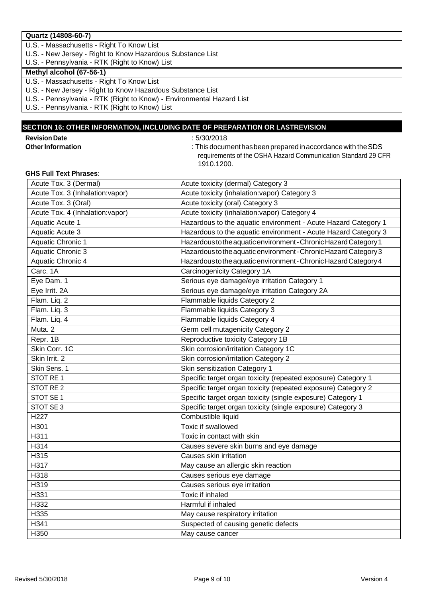## **Quartz (14808-60-7)**

U.S. - Massachusetts - Right To Know List

U.S. - New Jersey - Right to Know Hazardous Substance List

U.S. - Pennsylvania - RTK (Right to Know) List

## **Methyl alcohol (67-56-1)**

U.S. - Massachusetts - Right To Know List

- U.S. New Jersey Right to Know Hazardous Substance List
- U.S. Pennsylvania RTK (Right to Know) Environmental Hazard List

U.S. - Pennsylvania - RTK (Right to Know) List

## **SECTION 16: OTHER INFORMATION, INCLUDING DATE OF PREPARATION OR LASTREVISION**

**Revision Date**<br> **Other Information**<br> **Other Information**<br> **Complete Strategies**<br> **Complete Strategies**<br> **Complete Strategies**<br> **Complete Strategies**<br> **Complete Strategies**<br> **Complete Strategies**<br> **Complete Strategies**<br> **C** 

**OtherInformation** : Thisdocumenthasbeenpreparedinaccordancewith theSDS requirements of the OSHA Hazard Communication Standard 29 CFR 1910.1200.

### **GHS Full Text Phrases**:

| Acute Tox. 3 (Dermal)            | Acute toxicity (dermal) Category 3                               |
|----------------------------------|------------------------------------------------------------------|
| Acute Tox. 3 (Inhalation: vapor) | Acute toxicity (inhalation:vapor) Category 3                     |
| Acute Tox. 3 (Oral)              | Acute toxicity (oral) Category 3                                 |
| Acute Tox. 4 (Inhalation: vapor) | Acute toxicity (inhalation:vapor) Category 4                     |
| <b>Aquatic Acute 1</b>           | Hazardous to the aquatic environment - Acute Hazard Category 1   |
| Aquatic Acute 3                  | Hazardous to the aquatic environment - Acute Hazard Category 3   |
| Aquatic Chronic 1                | Hazardous to the aquatic environment - Chronic Hazard Category 1 |
| Aquatic Chronic 3                | Hazardous to the aquatic environment - Chronic Hazard Category 3 |
| <b>Aquatic Chronic 4</b>         | Hazardous to the aquatic environment - Chronic Hazard Category 4 |
| Carc. 1A                         | Carcinogenicity Category 1A                                      |
| Eye Dam. 1                       | Serious eye damage/eye irritation Category 1                     |
| Eye Irrit. 2A                    | Serious eye damage/eye irritation Category 2A                    |
| Flam. Liq. 2                     | Flammable liquids Category 2                                     |
| Flam. Liq. 3                     | Flammable liquids Category 3                                     |
| Flam. Liq. 4                     | Flammable liquids Category 4                                     |
| Muta. 2                          | Germ cell mutagenicity Category 2                                |
| Repr. 1B                         | Reproductive toxicity Category 1B                                |
| Skin Corr. 1C                    | Skin corrosion/irritation Category 1C                            |
| Skin Irrit. 2                    | Skin corrosion/irritation Category 2                             |
| Skin Sens. 1                     | Skin sensitization Category 1                                    |
| STOT RE 1                        | Specific target organ toxicity (repeated exposure) Category 1    |
| STOT RE 2                        | Specific target organ toxicity (repeated exposure) Category 2    |
| STOT SE 1                        | Specific target organ toxicity (single exposure) Category 1      |
| STOT SE 3                        | Specific target organ toxicity (single exposure) Category 3      |
| H <sub>227</sub>                 | Combustible liquid                                               |
| H301                             | Toxic if swallowed                                               |
| H311                             | Toxic in contact with skin                                       |
| H314                             | Causes severe skin burns and eye damage                          |
| H315                             | Causes skin irritation                                           |
| H317                             | May cause an allergic skin reaction                              |
| H318                             | Causes serious eye damage                                        |
| H319                             | Causes serious eye irritation                                    |
| H331                             | Toxic if inhaled                                                 |
| H332                             | Harmful if inhaled                                               |
| H335                             | May cause respiratory irritation                                 |
| H341                             | Suspected of causing genetic defects                             |
| H350                             | May cause cancer                                                 |